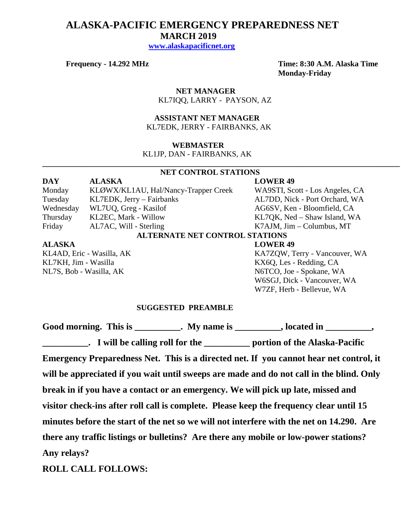# **ALASKA-PACIFIC EMERGENCY PREPAREDNESS NET MARCH 2019**

 **[www.alaskapacificnet.org](http://www.alaskapacificnet.org/)**

**Frequency - 14.292 MHz Time: 8:30 A.M. Alaska Time Monday-Friday**

> **NET MANAGER** KL7IQQ, LARRY - PAYSON, AZ

### **ASSISTANT NET MANAGER**  KL7EDK, JERRY - FAIRBANKS, AK

### **WEBMASTER**

KL1JP, DAN - FAIRBANKS, AK

### **NET CONTROL STATIONS**

**\_\_\_\_\_\_\_\_\_\_\_\_\_\_\_\_\_\_\_\_\_\_\_\_\_\_\_\_\_\_\_\_\_\_\_\_\_\_\_\_\_\_\_\_\_\_\_\_\_\_\_\_\_\_\_\_\_\_\_\_\_\_\_\_\_\_\_\_\_\_\_\_\_\_\_\_\_\_\_\_\_\_\_\_\_\_\_\_\_\_\_**

**DAY ALASKA LOWER 49** Monday KLØWX/KL1AU, Hal/Nancy-Trapper Creek WA9STI, Scott - Los Angeles, CA Tuesday KL7EDK, Jerry – Fairbanks AL7DD, Nick - Port Orchard, WA Wednesday WL7UQ, Greg - Kasilof AG6SV, Ken - Bloomfield, CA Thursday KL2EC, Mark - Willow KL7QK, Ned – Shaw Island, WA Friday AL7AC, Will - Sterling K7AJM, Jim – Columbus, MT **ALTERNATE NET CONTROL STATIONS ALASKA LOWER 49**

KL7KH, Jim - Wasilla<br>
NL7S, Bob - Wasilla, AK<br>
N6TCO, Joe - Spokane, W.

KL4AD, Eric - Wasilla, AK KA7ZQW, Terry - Vancouver, WA N6TCO, Joe - Spokane, WA W6SGJ, Dick - Vancouver, WA W7ZF, Herb - Bellevue, WA

### **SUGGESTED PREAMBLE**

Good morning. This is \_\_\_\_\_\_\_\_\_\_. My name is \_\_\_\_\_\_\_\_\_, located in \_\_\_\_\_\_\_\_\_,

**\_\_\_\_\_\_\_\_\_\_. I will be calling roll for the \_\_\_\_\_\_\_\_\_\_ portion of the Alaska-Pacific Emergency Preparedness Net. This is a directed net. If you cannot hear net control, it will be appreciated if you wait until sweeps are made and do not call in the blind. Only break in if you have a contact or an emergency. We will pick up late, missed and visitor check-ins after roll call is complete. Please keep the frequency clear until 15 minutes before the start of the net so we will not interfere with the net on 14.290. Are there any traffic listings or bulletins? Are there any mobile or low-power stations? Any relays?** 

**ROLL CALL FOLLOWS:**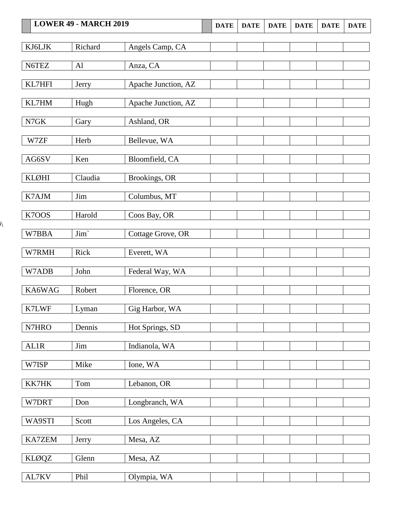## **LOWER 49 • MARCH 2019 DATE DATE DATE DATE DATE DATE DATE**

 $\lambda$ 

| KJ6LJK       | Richard        | Angels Camp, CA     |  |  |  |
|--------------|----------------|---------------------|--|--|--|
| N6TEZ        | A <sub>1</sub> | Anza, CA            |  |  |  |
|              |                |                     |  |  |  |
| KL7HFI       | Jerry          | Apache Junction, AZ |  |  |  |
| KL7HM        | Hugh           | Apache Junction, AZ |  |  |  |
|              |                |                     |  |  |  |
| N7GK         | Gary           | Ashland, OR         |  |  |  |
|              |                |                     |  |  |  |
| W7ZF         | Herb           | Bellevue, WA        |  |  |  |
| AG6SV        | Ken            | Bloomfield, CA      |  |  |  |
|              |                |                     |  |  |  |
| KLØHI        | Claudia        | Brookings, OR       |  |  |  |
| K7AJM        | Jim            | Columbus, MT        |  |  |  |
|              |                |                     |  |  |  |
| K7OOS        | Harold         | Coos Bay, OR        |  |  |  |
|              |                |                     |  |  |  |
| W7BBA        | Jim'           | Cottage Grove, OR   |  |  |  |
| W7RMH        | Rick           | Everett, WA         |  |  |  |
|              |                |                     |  |  |  |
| W7ADB        | John           | Federal Way, WA     |  |  |  |
| KA6WAG       | Robert         | Florence, OR        |  |  |  |
|              |                |                     |  |  |  |
| K7LWF        | Lyman          | Gig Harbor, WA      |  |  |  |
|              |                |                     |  |  |  |
| N7HRO        | Dennis         | Hot Springs, SD     |  |  |  |
| <b>AL1R</b>  | Jim            | Indianola, WA       |  |  |  |
|              |                |                     |  |  |  |
| W7ISP        | Mike           | Ione, WA            |  |  |  |
| KK7HK        | Tom            | Lebanon, OR         |  |  |  |
|              |                |                     |  |  |  |
| W7DRT        | Don            | Longbranch, WA      |  |  |  |
|              | Scott          |                     |  |  |  |
| WA9STI       |                | Los Angeles, CA     |  |  |  |
| KA7ZEM       | Jerry          | Mesa, AZ            |  |  |  |
|              |                |                     |  |  |  |
| <b>KLØQZ</b> | Glenn          | Mesa, AZ            |  |  |  |
| AL7KV        | Phil           | Olympia, WA         |  |  |  |
|              |                |                     |  |  |  |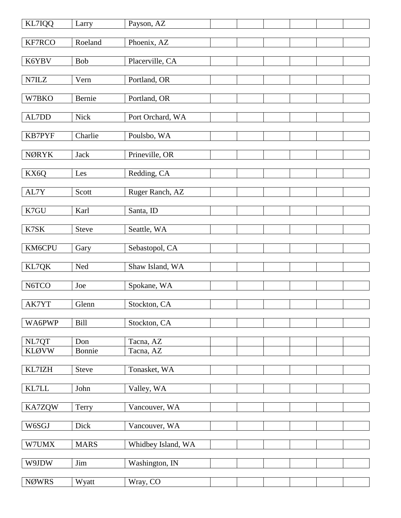| KL7IQQ                | Larry         | Payson, AZ             |  |  |  |
|-----------------------|---------------|------------------------|--|--|--|
| KF7RCO                | Roeland       | Phoenix, AZ            |  |  |  |
| K6YBV                 | Bob           | Placerville, CA        |  |  |  |
|                       |               |                        |  |  |  |
| N7ILZ                 | Vern          | Portland, OR           |  |  |  |
| W7BKO                 | Bernie        | Portland, OR           |  |  |  |
| AL7DD                 | Nick          | Port Orchard, WA       |  |  |  |
| <b>KB7PYF</b>         | Charlie       | Poulsbo, WA            |  |  |  |
|                       |               |                        |  |  |  |
| <b>NØRYK</b>          | Jack          | Prineville, OR         |  |  |  |
| KX6Q                  | Les           | Redding, CA            |  |  |  |
| AL7Y                  | Scott         | Ruger Ranch, AZ        |  |  |  |
|                       |               |                        |  |  |  |
| K7GU                  | Karl          | Santa, ID              |  |  |  |
| K7SK                  | Steve         | Seattle, WA            |  |  |  |
| KM6CPU                | Gary          | Sebastopol, CA         |  |  |  |
| KL7QK                 | Ned           | Shaw Island, WA        |  |  |  |
|                       |               |                        |  |  |  |
| N6TCO                 | Joe           | Spokane, WA            |  |  |  |
| AK7YT                 | Glenn         | Stockton, CA           |  |  |  |
| WA6PWP                | <b>Bill</b>   | Stockton, CA           |  |  |  |
|                       |               |                        |  |  |  |
| NL7QT<br><b>KLØVW</b> | Don<br>Bonnie | Tacna, AZ<br>Tacna, AZ |  |  |  |
|                       |               |                        |  |  |  |
| KL7IZH                | Steve         | Tonasket, WA           |  |  |  |
| $\text{KL7LL}$        | John          | Valley, WA             |  |  |  |
| KA7ZQW                | Terry         | Vancouver, WA          |  |  |  |
| W6SGJ                 | Dick          | Vancouver, WA          |  |  |  |
| W7UMX                 | <b>MARS</b>   | Whidbey Island, WA     |  |  |  |
| W9JDW                 | Jim           | Washington, IN         |  |  |  |
|                       |               |                        |  |  |  |
| <b>NØWRS</b>          | Wyatt         | Wray, CO               |  |  |  |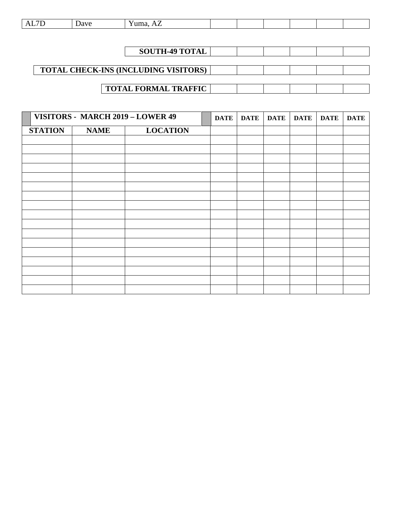| the contract of the contract of the<br>. | --- |  |  |  |  |  |  |  |
|------------------------------------------|-----|--|--|--|--|--|--|--|
|------------------------------------------|-----|--|--|--|--|--|--|--|

| <b>SOUTH-49 TOTAL</b>                       |  |  |  |
|---------------------------------------------|--|--|--|
|                                             |  |  |  |
| <b>TOTAL CHECK-INS (INCLUDING VISITORS)</b> |  |  |  |
|                                             |  |  |  |
| <b>TOTAL FORMAL TRAFFIC</b>                 |  |  |  |

|                |             | VISITORS - MARCH 2019 - LOWER 49 | <b>DATE</b> | DATE | <b>DATE</b> | <b>DATE</b> | <b>DATE</b> | <b>DATE</b> |
|----------------|-------------|----------------------------------|-------------|------|-------------|-------------|-------------|-------------|
| <b>STATION</b> | <b>NAME</b> | <b>LOCATION</b>                  |             |      |             |             |             |             |
|                |             |                                  |             |      |             |             |             |             |
|                |             |                                  |             |      |             |             |             |             |
|                |             |                                  |             |      |             |             |             |             |
|                |             |                                  |             |      |             |             |             |             |
|                |             |                                  |             |      |             |             |             |             |
|                |             |                                  |             |      |             |             |             |             |
|                |             |                                  |             |      |             |             |             |             |
|                |             |                                  |             |      |             |             |             |             |
|                |             |                                  |             |      |             |             |             |             |
|                |             |                                  |             |      |             |             |             |             |
|                |             |                                  |             |      |             |             |             |             |
|                |             |                                  |             |      |             |             |             |             |
|                |             |                                  |             |      |             |             |             |             |
|                |             |                                  |             |      |             |             |             |             |
|                |             |                                  |             |      |             |             |             |             |
|                |             |                                  |             |      |             |             |             |             |
|                |             |                                  |             |      |             |             |             |             |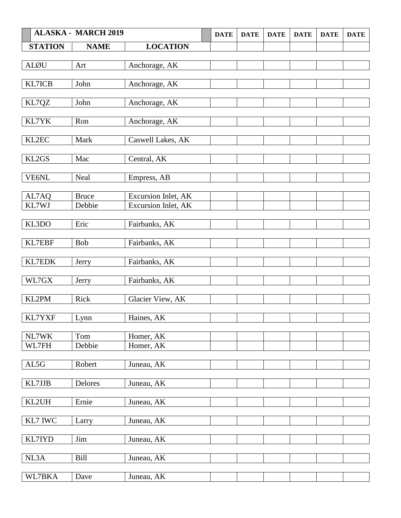|                | <b>ALASKA - MARCH 2019</b> |                         | <b>DATE</b> | <b>DATE</b> | <b>DATE</b> | <b>DATE</b> | <b>DATE</b> | <b>DATE</b> |
|----------------|----------------------------|-------------------------|-------------|-------------|-------------|-------------|-------------|-------------|
| <b>STATION</b> | <b>NAME</b>                | <b>LOCATION</b>         |             |             |             |             |             |             |
|                |                            |                         |             |             |             |             |             |             |
| <b>ALØU</b>    | Art                        | Anchorage, AK           |             |             |             |             |             |             |
|                |                            |                         |             |             |             |             |             |             |
| KL7ICB         | John                       | Anchorage, AK           |             |             |             |             |             |             |
| KL7QZ          | John                       | Anchorage, AK           |             |             |             |             |             |             |
|                |                            |                         |             |             |             |             |             |             |
| KL7YK          | Ron                        | Anchorage, AK           |             |             |             |             |             |             |
|                |                            |                         |             |             |             |             |             |             |
| KL2EC          | Mark                       | Caswell Lakes, AK       |             |             |             |             |             |             |
|                |                            |                         |             |             |             |             |             |             |
| KL2GS          | Mac                        | Central, AK             |             |             |             |             |             |             |
| VE6NL          | Neal                       | Empress, AB             |             |             |             |             |             |             |
|                |                            |                         |             |             |             |             |             |             |
| AL7AQ          | <b>Bruce</b>               | Excursion Inlet, AK     |             |             |             |             |             |             |
| KL7WJ          | Debbie                     | Excursion Inlet, AK     |             |             |             |             |             |             |
|                |                            |                         |             |             |             |             |             |             |
| KL3DO          | Eric                       | Fairbanks, AK           |             |             |             |             |             |             |
| <b>KL7EBF</b>  | Bob                        | Fairbanks, AK           |             |             |             |             |             |             |
|                |                            |                         |             |             |             |             |             |             |
| KL7EDK         | Jerry                      | Fairbanks, AK           |             |             |             |             |             |             |
|                |                            |                         |             |             |             |             |             |             |
| WL7GX          | Jerry                      | Fairbanks, AK           |             |             |             |             |             |             |
|                |                            |                         |             |             |             |             |             |             |
| KL2PM          | Rick                       | Glacier View, AK        |             |             |             |             |             |             |
| KL7YXF         | Lynn                       | Haines, AK              |             |             |             |             |             |             |
|                |                            |                         |             |             |             |             |             |             |
| NL7WK          | Tom                        | Homer, AK               |             |             |             |             |             |             |
| WL7FH          | Debbie                     | Homer, AK               |             |             |             |             |             |             |
|                |                            |                         |             |             |             |             |             |             |
| AL5G           | Robert                     | Juneau, AK              |             |             |             |             |             |             |
| KL7JJB         | Delores                    | Juneau, AK              |             |             |             |             |             |             |
|                |                            |                         |             |             |             |             |             |             |
| KL2UH          | Ernie                      | Juneau, $\overline{AK}$ |             |             |             |             |             |             |
|                |                            |                         |             |             |             |             |             |             |
| KL7 IWC        | Larry                      | Juneau, AK              |             |             |             |             |             |             |
|                |                            |                         |             |             |             |             |             |             |
| KL7IYD         | Jim                        | Juneau, AK              |             |             |             |             |             |             |
|                |                            |                         |             |             |             |             |             |             |
| NL3A           | Bill                       | Juneau, AK              |             |             |             |             |             |             |
| WL7BKA         | Dave                       | Juneau, AK              |             |             |             |             |             |             |
|                |                            |                         |             |             |             |             |             |             |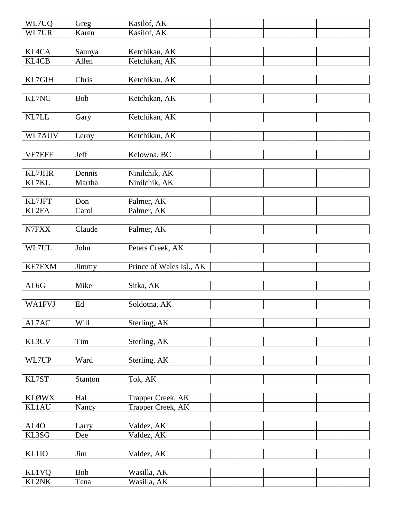| WL7UQ             | Greg       | Kasilof, AK              |  |  |  |
|-------------------|------------|--------------------------|--|--|--|
| WL7UR             | Karen      | Kasilof, AK              |  |  |  |
|                   |            |                          |  |  |  |
| <b>KL4CA</b>      | Saunya     | Ketchikan, AK            |  |  |  |
| <b>KL4CB</b>      | Allen      | Ketchikan, AK            |  |  |  |
|                   |            |                          |  |  |  |
| KL7GIH            | Chris      | Ketchikan, AK            |  |  |  |
|                   |            |                          |  |  |  |
| KL7NC             | <b>Bob</b> | Ketchikan, AK            |  |  |  |
|                   |            |                          |  |  |  |
| NL7LL             | Gary       | Ketchikan, AK            |  |  |  |
|                   |            |                          |  |  |  |
| WL7AUV            | Leroy      | Ketchikan, AK            |  |  |  |
|                   |            |                          |  |  |  |
| VE7EFF            | Jeff       | Kelowna, BC              |  |  |  |
|                   |            |                          |  |  |  |
| KL7JHR            | Dennis     | Ninilchik, AK            |  |  |  |
| KL7KL             | Martha     | Ninilchik, AK            |  |  |  |
|                   |            |                          |  |  |  |
| KL7JFT            | Don        | Palmer, AK               |  |  |  |
| KL2FA             | Carol      | Palmer, AK               |  |  |  |
|                   |            |                          |  |  |  |
| N7FXX             | Claude     | Palmer, AK               |  |  |  |
|                   |            |                          |  |  |  |
| WL7UL             | John       | Peters Creek, AK         |  |  |  |
|                   |            |                          |  |  |  |
| <b>KE7FXM</b>     | Jimmy      | Prince of Wales Isl., AK |  |  |  |
|                   |            |                          |  |  |  |
| AL6G              | Mike       | Sitka, AK                |  |  |  |
|                   |            |                          |  |  |  |
| <b>WA1FVJ</b>     | Ed         | Soldotna, AK             |  |  |  |
|                   |            |                          |  |  |  |
| AL7AC             | Will       | Sterling, AK             |  |  |  |
|                   |            |                          |  |  |  |
| KL3CV             | Tim        | Sterling, AK             |  |  |  |
|                   |            |                          |  |  |  |
| WL7UP             | Ward       | Sterling, AK             |  |  |  |
|                   |            |                          |  |  |  |
| KL7ST             | Stanton    | Tok, AK                  |  |  |  |
|                   |            |                          |  |  |  |
| <b>KLØWX</b>      | Hal        | Trapper Creek, AK        |  |  |  |
| <b>KL1AU</b>      | Nancy      | Trapper Creek, AK        |  |  |  |
|                   |            |                          |  |  |  |
| AL <sub>4</sub> O | Larry      | Valdez, AK               |  |  |  |
| KL3SG             | Dee        | Valdez, AK               |  |  |  |
|                   |            |                          |  |  |  |
| <b>KL1IO</b>      | Jim        | Valdez, AK               |  |  |  |
|                   |            |                          |  |  |  |
| <b>KL1VQ</b>      | <b>Bob</b> | Wasilla, AK              |  |  |  |
| KL2NK             | Tena       | Wasilla, AK              |  |  |  |
|                   |            |                          |  |  |  |